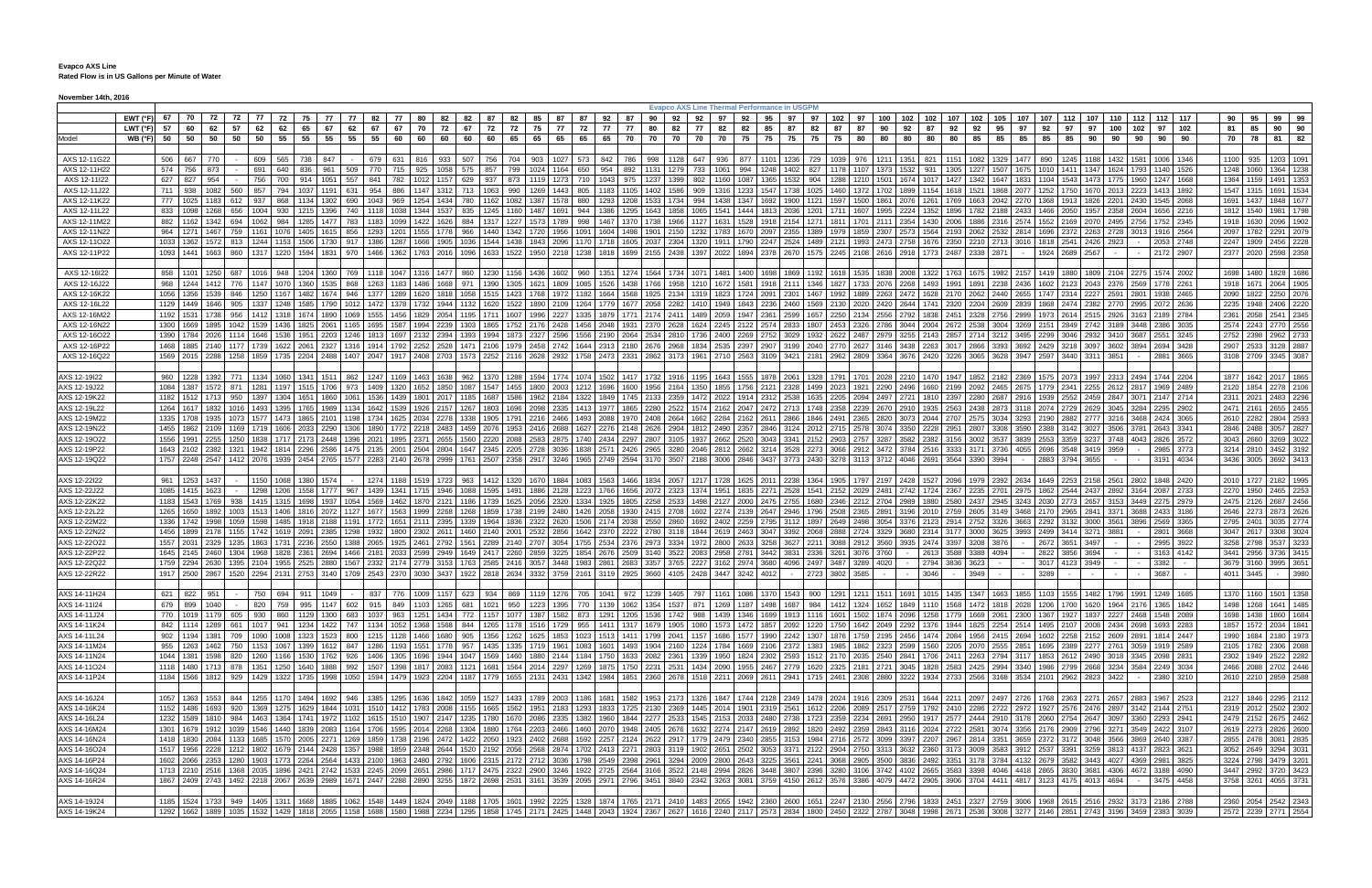|                              |                                    |           |      |                                  |      |                                                    |                |                                                                            |           |      |              |                                                                     |                        |               |      |    |       |                                                                                                                                    |    |              |                |          |    |               |    | <b>Evapco AXS Line Thermal Performance in USGPM</b>                                                                                                                                             |              |           |                |                                                                                                                                                                                                                                                                                                                                                                                                                                                                 |             |                                    |    |           |    |              |              |                        |                |           |                                         |     |                   |      |                                            |              |
|------------------------------|------------------------------------|-----------|------|----------------------------------|------|----------------------------------------------------|----------------|----------------------------------------------------------------------------|-----------|------|--------------|---------------------------------------------------------------------|------------------------|---------------|------|----|-------|------------------------------------------------------------------------------------------------------------------------------------|----|--------------|----------------|----------|----|---------------|----|-------------------------------------------------------------------------------------------------------------------------------------------------------------------------------------------------|--------------|-----------|----------------|-----------------------------------------------------------------------------------------------------------------------------------------------------------------------------------------------------------------------------------------------------------------------------------------------------------------------------------------------------------------------------------------------------------------------------------------------------------------|-------------|------------------------------------|----|-----------|----|--------------|--------------|------------------------|----------------|-----------|-----------------------------------------|-----|-------------------|------|--------------------------------------------|--------------|
|                              | EWT(°F) 67 70 72 72                |           |      |                                  |      |                                                    |                | 77   72   75   77                                                          |           | - 77 | 82           |                                                                     | 80                     | 82            | 82   | 87 | 82 85 | 87                                                                                                                                 |    | 87   92   87 |                | 90       | 92 | 92            | 97 | 92<br>95                                                                                                                                                                                        | 97           |           | 97 102         | 97   100   102   102   107   102   105   107   107                                                                                                                                                                                                                                                                                                                                                                                                              |             |                                    |    |           |    |              |              | 112 107                |                |           | 110 112 112 117                         |     | 90                | 95   | 99 99                                      |              |
|                              | LWT (°F)                           |           |      | 62                               | 57   | 62                                                 | 62             | 65                                                                         | 67        | 62   | 67           |                                                                     | 70                     | 72            | 67   | 72 | 72    | 75<br>77                                                                                                                           | 72 | 77           | 77             | 80       | 82 | 77            | 82 | 82<br>85                                                                                                                                                                                        | 87           | 82        | 87             | 87<br>90                                                                                                                                                                                                                                                                                                                                                                                                                                                        | 92          | 87                                 | 92 | 92        | 95 | 97<br>92     |              | 97                     | 100            | 102       |                                         | 102 | 81                | 85   | 90                                         | 90           |
| Model                        | WB (°F) 50 50 50 50 50 50 55 55 55 |           |      |                                  |      |                                                    |                |                                                                            |           |      | 55           | 60                                                                  | 60                     | 60            | 60   | 60 |       | 65 65 65                                                                                                                           | 65 | 65           | 70             | 70       |    |               |    | 70 70 70 75 75                                                                                                                                                                                  | 75           | 75 75     |                | 80                                                                                                                                                                                                                                                                                                                                                                                                                                                              | 80 80 80 80 |                                    |    | 85 85     |    | 85           | 85<br>85     | 90                     |                | 90 90     | 90 90                                   |     | 70 78             |      | 81                                         | 82           |
|                              |                                    |           |      |                                  |      |                                                    |                |                                                                            |           |      |              |                                                                     |                        |               |      |    |       |                                                                                                                                    |    |              |                |          |    |               |    |                                                                                                                                                                                                 |              |           |                |                                                                                                                                                                                                                                                                                                                                                                                                                                                                 |             |                                    |    |           |    |              |              |                        |                |           |                                         |     |                   |      |                                            |              |
| AXS 12-11G22                 |                                    | 506 667   |      | 770                              |      |                                                    |                | 609 565 738 847                                                            |           |      | 679          |                                                                     | 631 816 933            |               |      |    |       |                                                                                                                                    |    |              |                |          |    |               |    |                                                                                                                                                                                                 |              |           |                | 507   756   704   903   1027   573   842   786   998   1128   647   936   877   1101   1236   729   1039   976   1211   1351   821   1151   1082   1329   1477   890                                                                                                                                                                                                                                                                                            |             |                                    |    |           |    |              |              |                        |                |           | 1245 1188 1432 1581 1006 1346           |     |                   |      | 1100 935 1203 1091                         |              |
| AXS 12-11H22                 |                                    | 574 756   |      | 873                              |      | 691                                                | 640            | 836                                                                        | 961 509   |      | 770          | 715                                                                 | 925 1058               |               |      |    |       | 575 857 799 1024 1164 650 954                                                                                                      |    |              |                | 892 1131 |    | 1279 733 1061 |    | 994   1248   1402   827   1178                                                                                                                                                                  |              |           |                | 1107   1373   1532   931   1305   1227   1507   1675   1010                                                                                                                                                                                                                                                                                                                                                                                                     |             |                                    |    |           |    |              | 1411         | 1347                   | 1624           | 1793      | 1140 1526                               |     | 1248              | 1060 | 1364 1238                                  |              |
| AXS 12-11I22                 |                                    | 627       | 827  | 954                              |      |                                                    | 756 700        | 914                                                                        | 1051      | 557  | 841          | 782                                                                 | 1012 1157              |               | 629  |    |       | 937   873   1119   1273   710   1043   975   1237                                                                                  |    |              |                |          |    |               |    | 1399 802 1160 1087 1365                                                                                                                                                                         |              |           | 1532 904 1288  | 1210   1501   1674   1017   1427   1342   1647   1831   1104                                                                                                                                                                                                                                                                                                                                                                                                    |             |                                    |    |           |    |              |              | 1543 1473              |                |           | 1775 1960 1247 1668                     |     | 1364 1159         |      | 1491                                       | 1353         |
| AXS 12-11J22                 |                                    | 711       | 938  | 1082                             | 560  |                                                    | 857 794        | 1037                                                                       | 1191 631  |      | 954          | 886                                                                 |                        | 1147 1312 713 |      |    |       |                                                                                                                                    |    |              |                |          |    |               |    | 1063   990   1269   1443   805   1183   1105   1402   1586   909   1316   1233   1547   1738                                                                                                    |              |           |                | 1025   1460   1372   1702   1899   1154   1618   1521   1868   2077   1252                                                                                                                                                                                                                                                                                                                                                                                      |             |                                    |    |           |    |              | 1750         |                        | 1670 2013 2223 |           | 1413 1892                               |     | 1547              | 1315 | 1691                                       | 1534         |
| AXS 12-11K22                 |                                    |           |      | 777 1025 1183                    | 612  |                                                    |                | 937 868 1134 1302 690                                                      |           |      | 1043         | 969                                                                 | 1254 1434              |               |      |    |       | 780 1162 1082 1387 1578 880                                                                                                        |    |              | 1293 1208 1533 |          |    |               |    | 1734 994 1438 1347 1692                                                                                                                                                                         |              |           |                | 1900   1121   1597   1500   1861   2076   1261   1769   1663   2042   2270   1368                                                                                                                                                                                                                                                                                                                                                                               |             |                                    |    |           |    |              | 1913         |                        |                |           | 1826 2201 2430 1545 2068                |     | 1691              | 1437 | 1848                                       | 1677         |
| AXS 12-11L22                 |                                    | 833 1098  |      | 1268                             | 656  |                                                    |                | 1004 930 1215 1396 740                                                     |           |      | 1118         | 1038                                                                |                        | 1344 1537     |      |    |       |                                                                                                                                    |    |              |                |          |    |               |    | 835   1245   1160   1487   1691   944   1386   1295   1643   1858   1065   1541   1444   1813                                                                                                   |              |           |                | 2036   1201   1711   1607   1995   2224   1352   1896   1782   2188   2433   1466                                                                                                                                                                                                                                                                                                                                                                               |             |                                    |    |           |    |              |              | 2050 1957              |                | 2358 2604 | 1656 2216                               |     | 1812 1540         |      | 1981                                       | 1798         |
| AXS 12-11M22                 |                                    | 882 1162  |      | 1342                             | 694  | 1062                                               |                | 984 1285 1477 783                                                          |           |      | 1183         | 1099                                                                | 1422 1626              |               |      |    |       |                                                                                                                                    |    |              |                |          |    |               |    |                                                                                                                                                                                                 |              |           |                | 884   1317   1227   1573   1789   998   1467   1370   1738   1966   1127   1631   1528   1918   2154   1271   1811   1701   2111   2354   1430   2006   1886   2316   2574   1552                                                                                                                                                                                                                                                                               |             |                                    |    |           |    |              |              |                        |                |           | 2169 2070 2495 2756 1752 2345           |     | 1918              | 1630 | 2096                                       | 1902         |
| AXS 12-11N22                 |                                    | 964 1271  |      | 1467                             |      |                                                    |                | 1161 1076 1405 1615 856                                                    |           |      | 1293         | 1201                                                                | 1555                   | 1778          | 966  |    |       | 1440   1342   1720   1956   1091   1604   1498   1901                                                                              |    |              |                |          |    |               |    | 2150 1232 1783 1670 2097                                                                                                                                                                        | 2355         |           | 1389 1979      | 1859   2307   2573   1564   2193   2062   2532   2814   1696                                                                                                                                                                                                                                                                                                                                                                                                    |             |                                    |    |           |    |              |              |                        |                |           | 2372 2263 2728 3013 1916 2564           |     | 2097              | 1782 | 2291                                       | 2079         |
| AXS 12-11O22                 |                                    |           |      | 1033 1362 1572 813               |      |                                                    |                | 1244   1153   1506   1730   917                                            |           |      | 1386         | 1287                                                                |                        |               |      |    |       |                                                                                                                                    |    |              |                |          |    |               |    |                                                                                                                                                                                                 |              |           |                | 1666   1905   1036   1544   1438   1843   2096   1170   1718   1605   2037   2304   1320   1911   1790   2247   2524   1489   2121   1993   2473   2758   1676   2350   2210   2713   3016   1818                                                                                                                                                                                                                                                               |             |                                    |    |           |    |              |              | 2541 2426              | 2923           |           | 2053 2748                               |     | 2247              | 1909 | 2456                                       | 2228         |
| AXS 12-11P22                 |                                    | 1093 1441 |      | 1663                             | 860  |                                                    |                | 1317 1220 1594 1831                                                        |           | 970  | 1466         | 1362                                                                | 1763 2016              |               | 1096 |    |       | 1633   1522   1950   2218   1238   1818   1699   2155                                                                              |    |              |                |          |    |               |    |                                                                                                                                                                                                 |              |           |                | 2438   1397   2022   1894   2378   2670   1575   2245   2108   2616   2918   1773   2487   2338   2871                                                                                                                                                                                                                                                                                                                                                          |             |                                    |    |           |    |              | 1924<br>2689 | 2567                   |                |           | 2172 2907                               |     | 2377 2020         |      | 2598                                       | 2358         |
|                              |                                    |           |      |                                  |      |                                                    |                |                                                                            |           |      |              |                                                                     |                        |               |      |    |       |                                                                                                                                    |    |              |                |          |    |               |    |                                                                                                                                                                                                 |              |           |                |                                                                                                                                                                                                                                                                                                                                                                                                                                                                 |             |                                    |    |           |    |              |              |                        |                |           |                                         |     |                   |      |                                            |              |
| AXS 12-16I22                 |                                    |           |      |                                  |      |                                                    |                | 858   1101   1250   687   1016   948   1204   1360   769                   |           |      |              |                                                                     |                        |               |      |    |       |                                                                                                                                    |    |              |                |          |    |               |    |                                                                                                                                                                                                 |              |           |                | 1118 174 1860 1230 124 1366 1280 1280 1280 1281 1274 1602   960 1351 1274 1274 1564 1734 1071 1481 1400 1698 1869 1192   1618 1535   1838 2008 1322 1763   1675   1675   1680 1792   1763   1675   1680   1763   1680   1890                                                                                                                                                                                                                                    |             |                                    |    |           |    |              |              |                        |                |           |                                         |     | 1698 1480         |      | 1828 1686                                  |              |
| AXS 12-16J22                 |                                    |           |      |                                  |      |                                                    |                | 968   1244   1412   776   1147   1070   1360   1535   868                  |           |      |              | 1263 1183                                                           |                        |               |      |    |       |                                                                                                                                    |    |              |                |          |    |               |    |                                                                                                                                                                                                 |              |           |                | 1486   1668   971   1390   1305   1621   1809   1085   1526   1438   1766   1958   1210   1672   1581   1918   2111   1346   1827   1733   2076   2268   1493   1991   1891   1891   1891   2238   2436   1602   2123   2043                                                                                                                                                                                                                                    |             |                                    |    |           |    |              |              |                        |                |           |                                         |     |                   |      | 1918 1671 2064 1905                        |              |
| AXS 12-16K22                 |                                    |           |      |                                  |      |                                                    |                | 1056 1356 1539 846 1250 1167 1482 1674 946                                 |           |      |              | 1377 1289                                                           |                        |               |      |    |       |                                                                                                                                    |    |              |                |          |    |               |    | 1620   1818   1058   1515   1423   1768   1972   1182   1664   1568   1925   2134   1319   1823   1724   2091   2301                                                                            |              |           |                | 1467   1992   1889   2263   2472   1628   2170   2062   2440   2655   1747   2314   2227   2591   2801   1938   2465<br>1732 1844 1132 1620 1522 1890 2109 1264 1779 1677 2058 2282 1410 1949 1843 2236 2460 1569 2130 2020 2420 2644 1741 2320 2204 2609 2839 1868 2474 2382 2770 2995 2072 2636                                                                                                                                                               |             |                                    |    |           |    |              |              |                        |                |           |                                         |     |                   |      | 2090 1822 2250 2076                        |              |
| AXS 12-16L22                 |                                    |           |      |                                  |      |                                                    |                | 1129   1449   1646   905   1337   1248   1585   1790   1012   1472   1378  |           |      |              |                                                                     |                        |               |      |    |       |                                                                                                                                    |    |              |                |          |    |               |    |                                                                                                                                                                                                 |              |           |                |                                                                                                                                                                                                                                                                                                                                                                                                                                                                 |             |                                    |    |           |    |              |              |                        |                |           |                                         |     | 2235              | 1948 | 2406 2220                                  |              |
| AXS 12-16M22                 |                                    |           |      | 1192 1531 1738                   | 956  |                                                    |                | 1412 1318 1674 1890 1069                                                   |           |      |              | 1555 1456                                                           | 1829 2054              |               |      |    |       |                                                                                                                                    |    |              |                |          |    |               |    | 1195   1711   1607   1996   2227   1335   1879   1771   2174   2411   1489   2059   1947   2361                                                                                                 |              |           |                | 2189 1657 2250 2134 2556 2792 1838 2451 2328 2756 2999 1973 2614 2515 2926 3163 2189 2784                                                                                                                                                                                                                                                                                                                                                                       |             |                                    |    |           |    |              |              |                        |                |           | 3189 3448 2386 3035                     |     | 2361              | 2058 | 2541 2345                                  |              |
| AXS 12-16N22<br>AXS 12-16O22 |                                    | 1300 1669 |      | 1895<br>1390 1784 2026           | 1114 |                                                    | 1646 1536 1951 | 1042 1539 1436 1825 2061                                                   | 2203 1246 | 1165 | 1695<br>1813 | 1587<br>1697                                                        | 1994 2239<br>2132 2394 |               | 1303 |    |       |                                                                                                                                    |    |              |                |          |    |               |    | 1865   1752   2176   2428   1456   2048   1931   2370   2628   1624   2245   2122   2574  <br>  1393   1994   1873   2327   2596   1556   2190   2064   2534   2810   1736   2400   2269   2752 | 2833<br>3029 |           |                | 1807   2453   2326   2786   3044   2004   2672   2538   3004   3269   2151  <br>1932   2622   2487   2979   3255   2143   2857   2714   3212                                                                                                                                                                                                                                                                                                                    |             |                                    |    |           |    | 3495 2299    |              | 2849 2742<br>3046 2932 |                | 3410 3687 | 2551 3245                               |     | 2574 2243<br>2752 | 2398 | 2770 2556<br>2962                          | 2733         |
|                              |                                    |           |      |                                  |      |                                                    |                |                                                                            |           |      |              |                                                                     |                        |               |      |    |       |                                                                                                                                    |    |              |                |          |    |               |    |                                                                                                                                                                                                 |              |           |                | 1488 1885 2140 1177 1739 1622 2061 2327 1316 1914 1792 2252 2528 1471 2106 1979 2458 2742 1644 2313 2180 2676 2968 1834 2535 2397 2907 3199 2040 2770 2627 3146 3438 2263 3017 2866 3393 3692 2429                                                                                                                                                                                                                                                              |             |                                    |    |           |    |              |              | 3218 3097              |                | 3602 3894 | 2694 3428                               |     | 2907 2533         |      | 3128 2887                                  |              |
| AXS 12-16P22<br>AXS 12-16Q22 |                                    |           |      | 1569 2015 2288                   |      |                                                    |                |                                                                            |           |      |              | 1258   1859   1735   2204   2488   1407   2047   1917   2408   2703 |                        |               |      |    |       |                                                                                                                                    |    |              |                |          |    |               |    | 1573   2252   2116   2628   2932   1758   2473   2331   2862   3173   1961   2710   2563   3109   3421   2181   2962                                                                            |              |           |                | 2809 3364 3676 2420 3226 3065 3628                                                                                                                                                                                                                                                                                                                                                                                                                              |             |                                    |    |           |    | 3947 2597    |              | 3440 3311              | 3851           |           | 2881 3665                               |     | 3108 2709         |      | 3345 3087                                  |              |
|                              |                                    |           |      |                                  |      |                                                    |                |                                                                            |           |      |              |                                                                     |                        |               |      |    |       |                                                                                                                                    |    |              |                |          |    |               |    |                                                                                                                                                                                                 |              |           |                |                                                                                                                                                                                                                                                                                                                                                                                                                                                                 |             |                                    |    |           |    |              |              |                        |                |           |                                         |     |                   |      |                                            |              |
| AXS 12-19I22                 |                                    | 960 1228  |      |                                  | 771  |                                                    | 1134 1060 1341 |                                                                            | 1511      | 862  | 1247         | 1169                                                                | 1463                   | 1638          | 962  |    |       | 1370   1288   1594   1774   1074   1502   1417   1732                                                                              |    |              |                |          |    |               |    | 1916 1195 1643 1555 1878                                                                                                                                                                        | 2061         |           | 1328 1791      | 1701 2028 2210 1470 1947 1852 2182                                                                                                                                                                                                                                                                                                                                                                                                                              |             |                                    |    |           |    | 2369<br>1575 |              | 1997                   |                | 2313 2494 | 1744 2204                               |     | 1877              | 1642 | 2017                                       | 1865         |
| AXS 12-19J22                 |                                    |           |      |                                  |      |                                                    |                | 1084   1387   1572   871   1281   1197   1515   1706   973                 |           |      |              | 1409 1320                                                           |                        |               |      |    |       |                                                                                                                                    |    |              |                |          |    |               |    |                                                                                                                                                                                                 |              |           |                | 1652   1850   1087   1547   1455   1800   2003   1212   1696   1600   1956   2164   1350   1855   1756   2121   2328   1499   2023   1921   2290   2496   1660   2199   2092   2465   2675   1779   2341   2255   2612   2817                                                                                                                                                                                                                                   |             |                                    |    |           |    |              |              |                        |                |           |                                         |     |                   |      | 2120 1854 2278 2106                        |              |
| AXS 12-19K22                 |                                    |           |      |                                  |      | 1182 1512 1713 950 1397 1304 1651                  |                |                                                                            | 1860 1061 |      |              |                                                                     |                        |               |      |    |       |                                                                                                                                    |    |              |                |          |    |               |    |                                                                                                                                                                                                 |              |           |                | 1536   1439   1801   2017   1185   1687   1586   1962   2184   1322   1849   1745   2133   2359   1472   2022   1914   2312   258   1635   2009   209   209   299   297   2180   289   2867   2916   1939   2552   2459   2847                                                                                                                                                                                                                                  |             |                                    |    |           |    |              |              |                        |                |           |                                         |     |                   |      | 2311 2021 2483 2296                        |              |
| AXS 12-19L22                 |                                    |           |      |                                  |      | 1264 1617 1832 1016 1493 1395 1765                 |                |                                                                            |           |      |              |                                                                     |                        |               |      |    |       |                                                                                                                                    |    |              |                |          |    |               |    |                                                                                                                                                                                                 |              |           |                | 1989   1134   1642   1539   1926   2157   1267   1803   1696   2098   2335   1413   1977   1865   2280   2522   1574   2162   2047   2472   2713   1748   2358   239   2670   2970   1935   2563   2438   2873   3118   2074                                                                                                                                                                                                                                    |             |                                    |    |           |    |              |              |                        |                |           |                                         |     | 2471 2161         |      | 2655 2455                                  |              |
| AXS 12-19M22                 |                                    |           |      |                                  |      |                                                    |                | 1335   1708   1935   1073   1577   1473   1865   2101                      |           | 1198 |              | 1734 1625                                                           | 2034 2278              |               |      |    |       |                                                                                                                                    |    |              |                |          |    |               |    | 1338   1905   1791   2216   2466   1493   2088   1970   2408   2664   1662   2284   2162   2611   2866                                                                                          |              |           |                | 1846   2491   2365   2820   3073   2044   2707   2575   3034   3293   2190                                                                                                                                                                                                                                                                                                                                                                                      |             |                                    |    |           |    |              |              | 2882 2777 3216 3468    |                |           | 2424 3065                               |     | 2610              | 2282 | 2804 2593                                  |              |
| AXS 12-19N22                 |                                    |           |      |                                  |      |                                                    |                | 1455   1862   2109   1169   1719   1606   2033   2290   1306               |           |      | 1890         | 1772                                                                |                        |               |      |    |       |                                                                                                                                    |    |              |                |          |    |               |    |                                                                                                                                                                                                 |              |           |                | 2643 2341 2458 2076   1953   2416   2688   1627   2276   2148   2626   2904   1812   2490   2357   2846   3124   2012   2715   2578   3074   3350   2228   2951   2807   3308   3590   2388   3142   3027   3506   3781   2643                                                                                                                                                                                                                                  |             |                                    |    |           |    |              |              |                        |                |           |                                         |     | 2846              | 2488 | 3057 2827                                  |              |
| AXS 12-19O22                 |                                    |           |      | 1556 1991 2255                   |      |                                                    |                | 1250 1838 1717 2173 2448 1396 2021                                         |           |      |              | 1895                                                                | 2371 2655              |               |      |    |       |                                                                                                                                    |    |              |                |          |    |               |    |                                                                                                                                                                                                 |              |           |                | 1560   2220   2088   2583   2875   1740   2434   2297   2807   3105   1937   2662   2520   3043   3341   2152   2903   2757   3287   3382   2382   3156   3002   3537   3839   2553                                                                                                                                                                                                                                                                             |             |                                    |    |           |    |              |              |                        |                |           | 3359 3237 3748 4043 2826 3572           |     | 3043 2660         |      | 3269                                       | 3022         |
| AXS 12-19P22                 |                                    |           |      | 1643 2102 2382                   |      |                                                    |                |                                                                            |           |      |              |                                                                     |                        |               |      |    |       | 1321   1942   1814   2296   2586   1475   2135   2001   2504   2804   1647   2345   2205   2728   3036   1838   2571   2426   2965 |    |              |                |          |    |               |    |                                                                                                                                                                                                 |              |           |                | 3280 2046 2812 2662 3214 3528 2273 3066 2912 3472 3784 2516 3333 3171 3736 4055 2696                                                                                                                                                                                                                                                                                                                                                                            |             |                                    |    |           |    |              |              | 3548 3419 3959         |                |           | 2985 3773                               |     | 3214 2810         |      | 3452 3192                                  |              |
| AXS 12-19Q22                 |                                    |           |      |                                  |      |                                                    |                |                                                                            |           |      |              |                                                                     |                        |               |      |    |       |                                                                                                                                    |    |              |                |          |    |               |    |                                                                                                                                                                                                 |              |           |                | 1767 2248 2547 1412 2076 1939 2454 2765 1577 2283 2140 2678 2999 1761 2507 2358 2917 3246 1965 2749 2594 3170 3507 2188 3006 2846 3437 3773 2430 3278 3113 3712 4046 2691 3564                                                                                                                                                                                                                                                                                  |             |                                    |    | 3390 3994 |    |              | 2883<br>3794 | 3655                   |                |           | 3191 4034                               |     | 3436 3005         |      | 3692 3413                                  |              |
|                              |                                    |           |      |                                  |      |                                                    |                |                                                                            |           |      |              |                                                                     |                        |               |      |    |       |                                                                                                                                    |    |              |                |          |    |               |    |                                                                                                                                                                                                 |              |           |                |                                                                                                                                                                                                                                                                                                                                                                                                                                                                 |             |                                    |    |           |    |              |              |                        |                |           |                                         |     |                   |      |                                            |              |
| AXS 12-22I22                 |                                    |           |      | 961 1253 1437                    |      |                                                    |                | 1150 1068 1380 1574                                                        |           |      |              | 1274 1188                                                           |                        |               |      |    |       |                                                                                                                                    |    |              |                |          |    |               |    |                                                                                                                                                                                                 |              |           |                | 1563 1412   1320   1670   1884   1083   1563   1466   1834   2057   1217   1728   1625   2011   2238   1364   1905   1797   2197   2428   1527   2096   1979   2392   2634   1649   2253   2158   2561   2802   1848   2420                                                                                                                                                                                                                                     |             |                                    |    |           |    |              |              |                        |                |           |                                         |     |                   |      | 2010 1727 2182 1995                        |              |
| AXS 12-22J22                 |                                    |           | 1415 | 1623                             |      |                                                    |                | 1298 1206 1558 1777 967                                                    |           |      | 1439         | 1341                                                                | 1715                   | 1946          | 1088 |    |       |                                                                                                                                    |    |              |                |          |    |               |    |                                                                                                                                                                                                 |              |           |                |                                                                                                                                                                                                                                                                                                                                                                                                                                                                 |             |                                    |    |           |    |              |              | 2544 2437              |                |           | 2892 3164 2087 2733                     |     | 2270              |      | 1950 2465 2253                             |              |
| AXS 12-22K22                 |                                    | 1183 1543 |      | 1769                             | 938  |                                                    | 1415 1315 1698 |                                                                            | 1937 1054 |      | 1569         | 1462                                                                |                        | 1870 2121     |      |    |       |                                                                                                                                    |    |              |                |          |    |               |    | 1186   1739   1625   2056   2320   1334   1925   1805   2258   2533   1498   2127   2000   2475   2755   1680   2346                                                                            |              |           |                | 2212 2704 2989 1880 2580 2437 2945                                                                                                                                                                                                                                                                                                                                                                                                                              |             |                                    |    |           |    | 3243 2030    |              | 2773 2657              |                |           | 3153 3449 2275 2979                     |     | 2475 2126         |      | 2687 2456                                  |              |
| AXS 12-22L22                 |                                    |           |      |                                  |      |                                                    |                | 1265   1650   1892   1003   1513   1406   1816   2072   1127   1677   1563 |           |      |              |                                                                     | 1999 2268              |               |      |    |       |                                                                                                                                    |    |              |                |          |    |               |    |                                                                                                                                                                                                 |              |           |                | 1200   1859   1738   2199   2480   1426   2058   1930   2415   2708   1602   2274   2139   2647   2946   1796   2508   2365   2891   3196   2010   2759   2605   3149   3468   2170                                                                                                                                                                                                                                                                             |             |                                    |    |           |    |              |              |                        |                |           | 2965   2841   3371   3688   2433   3186 |     | 2646 2273         |      | 2873 2626                                  |              |
| AXS 12-22M22                 |                                    |           |      |                                  |      | 1336   1742   1998   1059   1598   1485   1918     |                |                                                                            | 2188      | 1191 |              |                                                                     |                        |               |      |    |       |                                                                                                                                    |    |              |                |          |    |               |    |                                                                                                                                                                                                 |              |           |                | 1772   1651   2111   2395   1339   1964   1836   2322   2620   1506   2174   2038   2550   2860   1692   2402   2402   2795   3112   1897   2649   2498   2498   3054   3376   3137   2133   2914   2752   3326                                                                                                                                                                                                                                                 |             |                                    |    |           |    | 3663 2292    |              | 3132 3000              |                |           | 3561 3896 2569 3365                     |     | 2795 2401         |      | 3035 2774                                  |              |
| AXS 12-22N22                 |                                    |           |      |                                  |      | 1456 1899 2178 1155 1742 1619 2091                 |                |                                                                            | 2385      | 1298 | 1932         |                                                                     |                        |               |      |    |       |                                                                                                                                    |    |              |                |          |    |               |    |                                                                                                                                                                                                 |              |           |                | 1800 2302 2611 1460 2140 2001 2532 2856 1642 2370 2222 2780 3118 1844 2619 2463 3047 3392 2068 2888 2724 3329 3680 2314 3177 3000 3625 3993 2499 3414 3271                                                                                                                                                                                                                                                                                                      |             |                                    |    |           |    |              |              |                        | 3881           |           | 2801 3668                               |     | 3047 2617         |      | 3308 3024                                  |              |
| AXS 12-22022                 |                                    | 1557 2031 |      | 2329                             |      | 1235   1863   1731   2236  <br>1304 1968 1828 2361 |                |                                                                            | 2550      | 1388 | 2065         | 1925                                                                | 2461 2792              |               |      |    |       |                                                                                                                                    |    |              |                |          |    |               |    | 1561   2289   2140   2707   3054   1755   2534   2376   2973   3334   1972   2800   2633   3258  <br>2958 2781 3442                                                                             |              |           | 3627 2211 3088 | 2912 3560 3935 2474 3397 3208 3876                                                                                                                                                                                                                                                                                                                                                                                                                              |             |                                    |    |           |    |              | 2672<br>3651 | 3497                   |                |           | 2995 3922<br>3163 4142                  |     | 3258 2798         |      | 3537                                       | 3233         |
| AXS 12-22P22<br>AXS 12-22Q22 |                                    |           |      | 1645 2145 2460<br>1759 2294 2630 |      |                                                    |                | 1395 2104 1955 2525 2880 1567                                              | 2694 1466 |      | 2181         | 2033                                                                | 2599 2949              |               |      |    |       | 1649   2417   2260   2859   3225   1854   2676   2509   3140   3522   2083                                                         |    |              |                |          |    |               |    | 2332 2174 2779 3153 1763 2585 2416 3057 3448 1983 2861 2683 3357 3765 2227 3162 2974 3680 4096 2497 3487                                                                                        | 3831         |           | 2336 3261      | 3076 3760<br>3289 4020                                                                                                                                                                                                                                                                                                                                                                                                                                          |             | $-2613$ 3588<br>$-$ 2794 3836 3623 |    | 3388 4094 |    | 2822         | 3856<br>3017 | 3694<br>4123 3949      |                |           | 3382                                    |     | 3441<br>3679 3160 | 2956 | 3736<br>3995                               | 3415<br>3651 |
| AXS 12-22R22                 |                                    |           |      | 1917 2500 2867                   |      |                                                    |                | 1520 2294 2131 2753 3140 1709 2543 2370                                    |           |      |              |                                                                     |                        |               |      |    |       |                                                                                                                                    |    |              |                |          |    |               |    | 3030 3437 1922 2818 2634 3332 3759 2161 3119 2925 3660 4105 2428 3447 3242 4012                                                                                                                 |              | 2723 3802 |                | 3585                                                                                                                                                                                                                                                                                                                                                                                                                                                            |             | 3046                               |    | 3949      |    | 3289         |              |                        |                |           | 3687                                    |     | 4011              | 3445 |                                            | 3980         |
|                              |                                    |           |      |                                  |      |                                                    |                |                                                                            |           |      |              |                                                                     |                        |               |      |    |       |                                                                                                                                    |    |              |                |          |    |               |    |                                                                                                                                                                                                 |              |           |                |                                                                                                                                                                                                                                                                                                                                                                                                                                                                 |             |                                    |    |           |    |              |              |                        |                |           |                                         |     |                   |      |                                            |              |
| AXS 14-11H24                 |                                    | 621 822   |      | 951                              |      |                                                    |                | 750 694 911 1049                                                           |           |      |              |                                                                     |                        |               |      |    |       |                                                                                                                                    |    |              |                |          |    |               |    |                                                                                                                                                                                                 |              |           |                | 837   776   1009   1157   623   934   869   1119   1276   705   1041   972   1239   1405   797   1161   1086   1370   1543   900   1291   1211   1511   169   1015   1435   347   1663   1855   1103   1555   1482   1796   199                                                                                                                                                                                                                                 |             |                                    |    |           |    |              |              |                        |                |           |                                         |     | 1370 1160         |      | 1501 1358                                  |              |
| AXS 14-11I24                 |                                    |           |      | 679 899 1040                     |      |                                                    |                |                                                                            |           |      |              |                                                                     |                        |               |      |    |       |                                                                                                                                    |    |              |                |          |    |               |    |                                                                                                                                                                                                 |              |           |                | 820   759   995   1147   602   915   849   1103   1265   681   1021   950   1223   1395   770   1139   1062   1354   1537   871   1269   1871   188   1687   984   1412   1324   1652   1849   1110   1568   1472   1818   20                                                                                                                                                                                                                                   |             |                                    |    |           |    |              |              |                        |                |           |                                         |     |                   |      | 1498 1268 1641 1485                        |              |
| AXS 14-11J24                 |                                    |           |      |                                  |      |                                                    |                |                                                                            |           |      |              |                                                                     |                        |               |      |    |       |                                                                                                                                    |    |              |                |          |    |               |    |                                                                                                                                                                                                 |              |           |                | 770 1019 1179 605 930 860 1129 1300 683 1037 963 1251 1434 772 1157 1077 1387 1582 873 1291 1205 1536 1742 988 1439 1346 1699 1913 1116 1601 1502 1874 2096 1258 1779 1689 2061 2300 1367 1927 1387 1297 1297 2468 1548 2089                                                                                                                                                                                                                                    |             |                                    |    |           |    |              |              |                        |                |           |                                         |     |                   |      | 1698 1438 1860 1684                        |              |
| AXS 14-11K24                 |                                    |           |      |                                  |      |                                                    |                |                                                                            |           |      |              |                                                                     |                        |               |      |    |       |                                                                                                                                    |    |              |                |          |    |               |    |                                                                                                                                                                                                 |              |           |                | 842 1114 1289 661 1017 941 1234 1422 747 1134 1052 1368 1568 844 1265 1178 1516 1729 955 1411 1317 1679 1080 1573 1472 1857 2092 1220 1750 1642 2049 2292 1376 1944 1825 2254 2514 1495 2107 2008 2434 2698 1693 2283                                                                                                                                                                                                                                           |             |                                    |    |           |    |              |              |                        |                |           |                                         |     |                   |      | 1857 1572 2034 1841                        |              |
| AXS 14-11L24                 |                                    |           |      |                                  |      |                                                    |                |                                                                            |           |      |              |                                                                     |                        |               |      |    |       |                                                                                                                                    |    |              |                |          |    |               |    |                                                                                                                                                                                                 |              |           |                | 902 1194 1381 709 1090 1008 1323 1523 800 1215 1128 1466 1680 905 1356 1262 1625 1853 1023 1513 1411 1799 2041 1157 1686 1577 1990 2242 1307 1876 1759 2195 245 1474 2084 1956 2415 2694 1602 2258 2152 2609 2891 1814 2447                                                                                                                                                                                                                                     |             |                                    |    |           |    |              |              |                        |                |           |                                         |     |                   |      | 1990 1684 2180 1973                        |              |
| AXS 14-11M24                 |                                    |           |      |                                  |      |                                                    |                |                                                                            |           |      |              |                                                                     |                        |               |      |    |       |                                                                                                                                    |    |              |                |          |    |               |    |                                                                                                                                                                                                 |              |           |                | 955 1263 1462 750 1153 1067 1399 1612 847 1286 1193 1551 1778 957 1435 1335 1719 1961 1083 1601 1493 1904 2160 1224 1784 1669 2106 2372 1383 1985 1862 2323 2599 1560 2205 2070 2555 2851 1695 2389 2277 2761 3059 1919 2589                                                                                                                                                                                                                                    |             |                                    |    |           |    |              |              |                        |                |           |                                         |     |                   |      | 2105 1782 2306 2088                        |              |
| AXS 14-11N24                 |                                    |           |      |                                  |      |                                                    |                |                                                                            |           |      |              |                                                                     |                        |               |      |    |       |                                                                                                                                    |    |              |                |          |    |               |    |                                                                                                                                                                                                 |              |           |                | 1044 1381 1598 820 1260 1166 1530 1762 926 1406 1305 1696 1944 1047 1569 1460 1880 2144 1184 1750 1633 2082 2361 1339 1950 1824 2302 2593 1512 2170 2035 2540 2841 1706 2411 2263 2794 3117 1853 2612 2490 3018 3345 2098 2831                                                                                                                                                                                                                                  |             |                                    |    |           |    |              |              |                        |                |           |                                         |     |                   |      | 2302 1949 2522 2282                        |              |
| AXS 14-11024                 |                                    |           |      |                                  |      |                                                    |                |                                                                            |           |      |              |                                                                     |                        |               |      |    |       |                                                                                                                                    |    |              |                |          |    |               |    |                                                                                                                                                                                                 |              |           |                | 1118   1480   1713   878   1351   1250   1640   1888   992   1507   1398   1817   2083   1121   1681   1564   2014   2297   1269   1875   1750   2231   2531   1434   2090   1955   246   2779   1620   2325   2181   2721   30                                                                                                                                                                                                                                 |             |                                    |    |           |    |              |              |                        |                |           |                                         |     |                   |      | 2466 2088 2702 2446                        |              |
| AXS 14-11P24                 |                                    |           |      |                                  |      |                                                    |                |                                                                            |           |      |              |                                                                     |                        |               |      |    |       |                                                                                                                                    |    |              |                |          |    |               |    |                                                                                                                                                                                                 |              |           |                | 1184 1566 1812 929 1429 1322 1735 1998 1050 1594 1479 1923 2204 1187 1779 1655 2131 2431 1342 1984 1851 2360 2678 1518 2211 2069 2611 2941 1715 2461 2308 2880 3222 1934 2733 2566 3168 3534 2101 2962 2823 3422                                                                                                                                                                                                                                                |             |                                    |    |           |    |              |              |                        |                |           | 2380 3210                               |     |                   |      | 2610 2210 2859 2588                        |              |
|                              |                                    |           |      |                                  |      |                                                    |                |                                                                            |           |      |              |                                                                     |                        |               |      |    |       |                                                                                                                                    |    |              |                |          |    |               |    |                                                                                                                                                                                                 |              |           |                |                                                                                                                                                                                                                                                                                                                                                                                                                                                                 |             |                                    |    |           |    |              |              |                        |                |           |                                         |     |                   |      |                                            |              |
| AXS 14-16J24                 |                                    |           |      |                                  |      |                                                    |                |                                                                            |           |      |              |                                                                     |                        |               |      |    |       |                                                                                                                                    |    |              |                |          |    |               |    |                                                                                                                                                                                                 |              |           |                | 1057   1363   1553   844   1255   1170   1494   1692   946   1385   1295   1636   1842   1059   1637   1433   1789   2003   1186   1681   1682   1638   1953   2173   1326   1847   1744   2128   2349   1478   2309   2349   1                                                                                                                                                                                                                                 |             |                                    |    |           |    |              |              |                        |                |           |                                         |     |                   |      | 2127 1846 2295 2112                        |              |
| AXS 14-16K24                 |                                    |           |      |                                  |      |                                                    |                |                                                                            |           |      |              |                                                                     |                        |               |      |    |       |                                                                                                                                    |    |              |                |          |    |               |    |                                                                                                                                                                                                 |              |           |                | 11213 142 2140 1226 1227 1238 1240 1237 1238 1240 1231 1240 1241 1242 1783 2008 1155 1665 1562 1351 1283 1293 1833 1725 2130 2369 1445 2014 1301 2319 2368 1612 2206 2089 2517 2759 1792 2410 2286 2722 2372 1392 1287 1287 128                                                                                                                                                                                                                                 |             |                                    |    |           |    |              |              |                        |                |           |                                         |     |                   |      | 2319 2012 2502 2302                        |              |
| AXS 14-16L24                 |                                    |           |      |                                  |      |                                                    |                |                                                                            |           |      |              |                                                                     |                        |               |      |    |       |                                                                                                                                    |    |              |                |          |    |               |    |                                                                                                                                                                                                 |              |           |                | 1232 1589 1810 384 1463 1364 1741 1972 1102 1615 1510 1907 2147 1235 1780 1670 2086 2335 1382 1960 1844 2277 2533 1545 2153 2033 2480 2738 1723 2359 2234 2691 2792 234 2691 2790 1917 2577 2444 2910 3178 2010 3178 2010 3178                                                                                                                                                                                                                                  |             |                                    |    |           |    |              |              |                        |                |           |                                         |     |                   |      | 2479 2152 2675 2462                        |              |
| AXS 14-16M24                 |                                    |           |      |                                  |      |                                                    |                |                                                                            |           |      |              |                                                                     |                        |               |      |    |       |                                                                                                                                    |    |              |                |          |    |               |    |                                                                                                                                                                                                 |              |           |                | 1301   1679   1912   1039   1546   1440   1839   2083   1164   1706   1595   2014   2268   1304   1880   1764   2203   2466   1460   2070   1948   2076   1632   2747   2619   289   289   289   2359   2843   3116   2024   27                                                                                                                                                                                                                                 |             |                                    |    |           |    |              |              |                        |                |           |                                         |     |                   |      | 2619 2273 2826 2600                        |              |
| AXS 14-16N24                 |                                    |           |      |                                  |      |                                                    |                |                                                                            |           |      |              |                                                                     |                        |               |      |    |       |                                                                                                                                    |    |              |                |          |    |               |    |                                                                                                                                                                                                 |              |           |                | 148 1880 2084 1133 1685 1570 2005 2271 1269 1859 1738 2196 2472 1422 2050 1923 2402 2688 1592 2257 2124 2622 2917 1779 2479 2340 2855 3153 1984 2716 2372 3099 3397 2207 2309 3397 2207 2861 3561 3569 2372 3172 3048 3566 3869                                                                                                                                                                                                                                 |             |                                    |    |           |    |              |              |                        |                |           |                                         |     |                   |      | 2855 2478 3081 2835                        |              |
| AXS 14-16O24                 |                                    |           |      |                                  |      |                                                    |                |                                                                            |           |      |              |                                                                     |                        |               |      |    |       |                                                                                                                                    |    |              |                |          |    |               |    |                                                                                                                                                                                                 |              |           |                |                                                                                                                                                                                                                                                                                                                                                                                                                                                                 |             |                                    |    |           |    |              |              |                        |                |           |                                         |     |                   |      | 3052 2649 3294 3031                        |              |
| AXS 14-16P24                 |                                    |           |      |                                  |      |                                                    |                |                                                                            |           |      |              |                                                                     |                        |               |      |    |       |                                                                                                                                    |    |              |                |          |    |               |    |                                                                                                                                                                                                 |              |           |                | 1602 2006 2353 1280 1303 1773 2264 2564 1433 2100 1363 2480 2792 1606 2315 2172 2712 3036 1798 2549 2398 2961 3294 2009 2800 2843 325 3561 2241 3068 295 350 295 350 295 351 3178 3784 4132 2679 3582 3443 4027 4369 2981 3825                                                                                                                                                                                                                                  |             |                                    |    |           |    |              |              |                        |                |           |                                         |     |                   |      | 3224 2798 3479 3201                        |              |
| AXS 14-16Q24<br>AXS 14-16R24 |                                    |           |      |                                  |      |                                                    |                |                                                                            |           |      |              |                                                                     |                        |               |      |    |       |                                                                                                                                    |    |              |                |          |    |               |    |                                                                                                                                                                                                 |              |           |                | 1713 2210 2516 1368 2035 1896 2421 2742 1533 2245 2099 2651 2986 1717 2475 2322 2900 3246 1322 275 2564 3166 3522 2148 2994 2826 3448 3807 2896 3280 340 3742 4102 2665 3583 3398 4046 4418 2865 3830 3681 4306 4672 3188 4090<br>1867 2409 2743 1492 2218 2067 2639 2989 1671 2447 2288 2890 3255 1872 2698 2531 3161 3539 2095 2971 2796 3451 3840 2342 3263 3081 3759 4150 2612 3576 3386 4079 4472 2095 3906 3704 4411 4817 3123 4175 4013 4694 - 3475 4458 |             |                                    |    |           |    |              |              |                        |                |           |                                         |     |                   |      | 3447 2992 3720 3423<br>3758 3261 4055 3731 |              |
|                              |                                    |           |      |                                  |      |                                                    |                |                                                                            |           |      |              |                                                                     |                        |               |      |    |       |                                                                                                                                    |    |              |                |          |    |               |    |                                                                                                                                                                                                 |              |           |                |                                                                                                                                                                                                                                                                                                                                                                                                                                                                 |             |                                    |    |           |    |              |              |                        |                |           |                                         |     |                   |      |                                            |              |
| AXS 14-19J24                 |                                    |           |      |                                  |      |                                                    |                |                                                                            |           |      |              |                                                                     |                        |               |      |    |       |                                                                                                                                    |    |              |                |          |    |               |    |                                                                                                                                                                                                 |              |           |                | 1186 1878 278 286 1278 206 1286 1287 278 286 1287 2078 208 1187 208 287 208 208 1187 208 1187 209 1188 1705 187 2020 128 187 2020 128 187 208 187 200 128 187 208 205 1042 208 208 128 208 128 128 208 128 128 128 128 128 128                                                                                                                                                                                                                                  |             |                                    |    |           |    |              |              |                        |                |           |                                         |     |                   |      | 2360 2054 2542 2343                        |              |
| AXS 14-19K24                 |                                    |           |      |                                  |      |                                                    |                |                                                                            |           |      |              |                                                                     |                        |               |      |    |       |                                                                                                                                    |    |              |                |          |    |               |    |                                                                                                                                                                                                 |              |           |                | 1292 1662 1889 1035 1532 1429 1818 2055 1158 1688 1580 1988 2234 1295 1858 1745 2171 2425 1448 2043 1824 2367 2627 1616 2240 2117 2573 2834 1800 2450 2322 2787 3048 1998 2671 2536 3008 3277 2146 2851 2743 3196 3459 2383 303                                                                                                                                                                                                                                 |             |                                    |    |           |    |              |              |                        |                |           |                                         |     |                   |      | 2572 2239 2771 2554                        |              |
|                              |                                    |           |      |                                  |      |                                                    |                |                                                                            |           |      |              |                                                                     |                        |               |      |    |       |                                                                                                                                    |    |              |                |          |    |               |    |                                                                                                                                                                                                 |              |           |                |                                                                                                                                                                                                                                                                                                                                                                                                                                                                 |             |                                    |    |           |    |              |              |                        |                |           |                                         |     |                   |      |                                            |              |

**November 14th, 2016**

## **Evapco AXS Line Rated Flow is in US Gallons per Minute of Water**